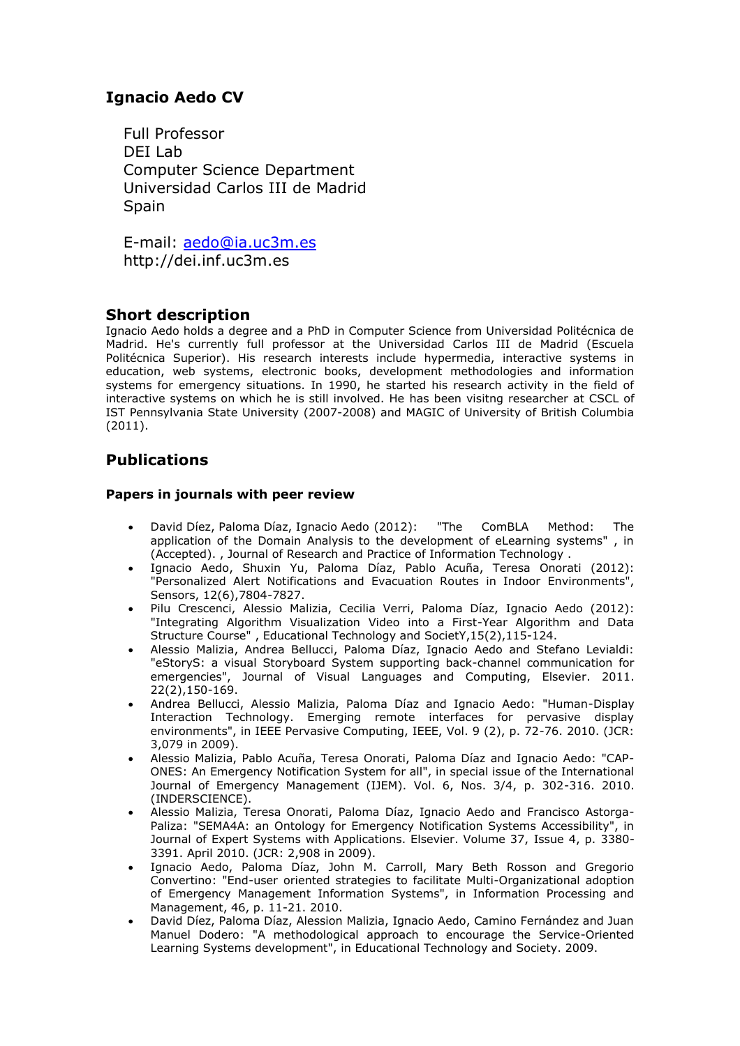# **Ignacio Aedo CV**

Full Professor DEI Lab Computer Science Department Universidad Carlos III de Madrid **Spain** 

E-mail: [aedo@ia.uc3m.es](mailto:aedo@ia.uc3m.es) http://dei.inf.uc3m.es

## **Short description**

Ignacio Aedo holds a degree and a PhD in Computer Science from Universidad Politécnica de Madrid. He's currently full professor at the Universidad Carlos III de Madrid (Escuela Politécnica Superior). His research interests include hypermedia, interactive systems in education, web systems, electronic books, development methodologies and information systems for emergency situations. In 1990, he started his research activity in the field of interactive systems on which he is still involved. He has been visitng researcher at CSCL of IST Pennsylvania State University (2007-2008) and MAGIC of University of British Columbia (2011).

# **Publications**

### **Papers in journals with peer review**

- David Díez, Paloma Díaz, Ignacio Aedo (2012): "The ComBLA Method: The application of the Domain Analysis to the development of eLearning systems" , in (Accepted). , Journal of Research and Practice of Information Technology .
- Ignacio Aedo, Shuxin Yu, Paloma Díaz, Pablo Acuña, Teresa Onorati (2012): "Personalized Alert Notifications and Evacuation Routes in Indoor Environments", Sensors, 12(6),7804-7827.
- Pilu Crescenci, Alessio Malizia, Cecilia Verri, Paloma Díaz, Ignacio Aedo (2012): "Integrating Algorithm Visualization Video into a First-Year Algorithm and Data Structure Course" , Educational Technology and SocietY,15(2),115-124.
- Alessio Malizia, Andrea Bellucci, Paloma Díaz, Ignacio Aedo and Stefano Levialdi: "eStoryS: a visual Storyboard System supporting back-channel communication for emergencies", Journal of Visual Languages and Computing, Elsevier. 2011. 22(2),150-169.
- Andrea Bellucci, Alessio Malizia, Paloma Díaz and Ignacio Aedo: "Human-Display Interaction Technology. Emerging remote interfaces for pervasive display environments", in IEEE Pervasive Computing, IEEE, Vol. 9 (2), p. 72-76. 2010. (JCR: 3,079 in 2009).
- Alessio Malizia, Pablo Acuña, Teresa Onorati, Paloma Díaz and Ignacio Aedo: "CAP-ONES: An Emergency Notification System for all", in special issue of the International Journal of Emergency Management (IJEM). Vol. 6, Nos. 3/4, p. 302-316. 2010. (INDERSCIENCE).
- Alessio Malizia, Teresa Onorati, Paloma Díaz, Ignacio Aedo and Francisco Astorga-Paliza: "SEMA4A: an Ontology for Emergency Notification Systems Accessibility", in Journal of Expert Systems with Applications. Elsevier. Volume 37, Issue 4, p. 3380- 3391. April 2010. (JCR: 2,908 in 2009).
- Ignacio Aedo, Paloma Díaz, John M. Carroll, Mary Beth Rosson and Gregorio Convertino: "End-user oriented strategies to facilitate Multi-Organizational adoption of Emergency Management Information Systems", in Information Processing and Management, 46, p. 11-21. 2010.
- David Díez, Paloma Díaz, Alession Malizia, Ignacio Aedo, Camino Fernández and Juan Manuel Dodero: "A methodological approach to encourage the Service-Oriented Learning Systems development", in Educational Technology and Society. 2009.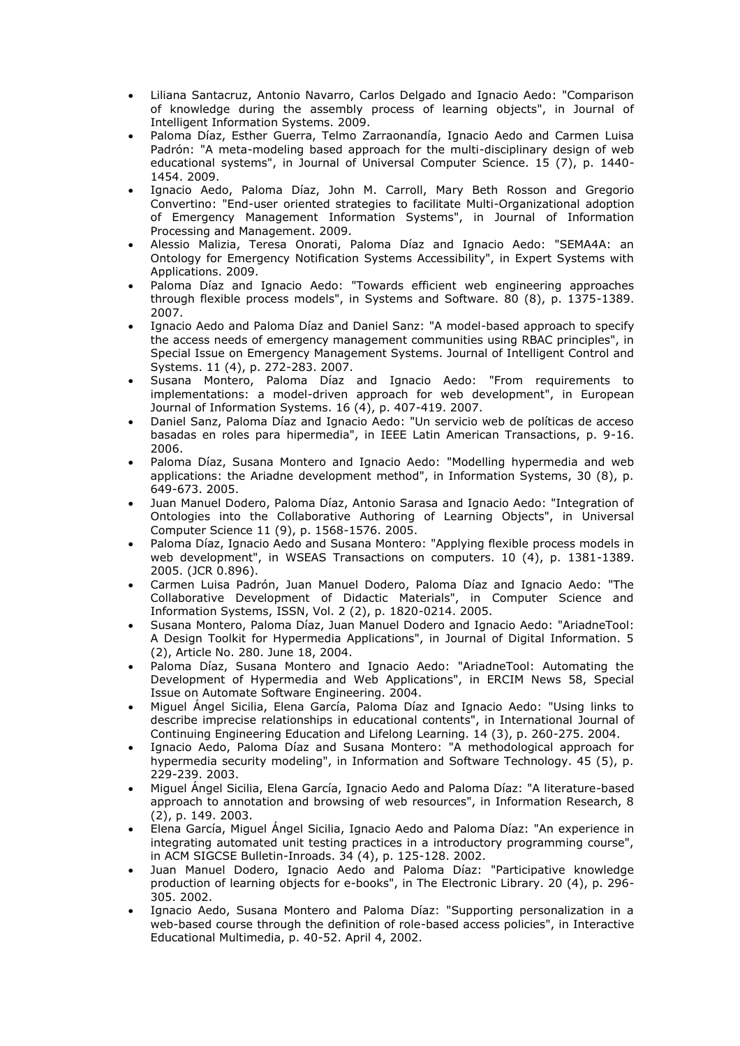- Liliana Santacruz, Antonio Navarro, Carlos Delgado and Ignacio Aedo: "Comparison of knowledge during the assembly process of learning objects", in Journal of Intelligent Information Systems. 2009.
- Paloma Díaz, Esther Guerra, Telmo Zarraonandía, Ignacio Aedo and Carmen Luisa Padrón: "A meta-modeling based approach for the multi-disciplinary design of web educational systems", in Journal of Universal Computer Science. 15 (7), p. 1440- 1454. 2009.
- Ignacio Aedo, Paloma Díaz, John M. Carroll, Mary Beth Rosson and Gregorio Convertino: "End-user oriented strategies to facilitate Multi-Organizational adoption of Emergency Management Information Systems", in Journal of Information Processing and Management. 2009.
- Alessio Malizia, Teresa Onorati, Paloma Díaz and Ignacio Aedo: "SEMA4A: an Ontology for Emergency Notification Systems Accessibility", in Expert Systems with Applications. 2009.
- Paloma Díaz and Ignacio Aedo: "Towards efficient web engineering approaches through flexible process models", in Systems and Software. 80 (8), p. 1375-1389. 2007.
- Ignacio Aedo and Paloma Díaz and Daniel Sanz: "A model-based approach to specify the access needs of emergency management communities using RBAC principles", in Special Issue on Emergency Management Systems. Journal of Intelligent Control and Systems. 11 (4), p. 272-283. 2007.
- Susana Montero, Paloma Díaz and Ignacio Aedo: "From requirements to implementations: a model-driven approach for web development", in European Journal of Information Systems. 16 (4), p. 407-419. 2007.
- Daniel Sanz, Paloma Díaz and Ignacio Aedo: "Un servicio web de políticas de acceso basadas en roles para hipermedia", in IEEE Latin American Transactions, p. 9-16. 2006.
- Paloma Díaz, Susana Montero and Ignacio Aedo: "Modelling hypermedia and web applications: the Ariadne development method", in Information Systems, 30 (8), p. 649-673. 2005.
- Juan Manuel Dodero, Paloma Díaz, Antonio Sarasa and Ignacio Aedo: "Integration of Ontologies into the Collaborative Authoring of Learning Objects", in Universal Computer Science 11 (9), p. 1568-1576. 2005.
- Paloma Díaz, Ignacio Aedo and Susana Montero: "Applying flexible process models in web development", in WSEAS Transactions on computers. 10 (4), p. 1381-1389. 2005. (JCR 0.896).
- Carmen Luisa Padrón, Juan Manuel Dodero, Paloma Díaz and Ignacio Aedo: "The Collaborative Development of Didactic Materials", in Computer Science and Information Systems, ISSN, Vol. 2 (2), p. 1820-0214. 2005.
- Susana Montero, Paloma Díaz, Juan Manuel Dodero and Ignacio Aedo: "AriadneTool: A Design Toolkit for Hypermedia Applications", in Journal of Digital Information. 5 (2), Article No. 280. June 18, 2004.
- Paloma Díaz, Susana Montero and Ignacio Aedo: "AriadneTool: Automating the Development of Hypermedia and Web Applications", in ERCIM News 58, Special Issue on Automate Software Engineering. 2004.
- Miguel Ángel Sicilia, Elena García, Paloma Díaz and Ignacio Aedo: "Using links to describe imprecise relationships in educational contents", in International Journal of Continuing Engineering Education and Lifelong Learning. 14 (3), p. 260-275. 2004.
- Ignacio Aedo, Paloma Díaz and Susana Montero: "A methodological approach for hypermedia security modeling", in Information and Software Technology. 45 (5), p. 229-239. 2003.
- Miguel Ángel Sicilia, Elena García, Ignacio Aedo and Paloma Díaz: "A literature-based approach to annotation and browsing of web resources", in Information Research, 8 (2), p. 149. 2003.
- Elena García, Miguel Ángel Sicilia, Ignacio Aedo and Paloma Díaz: "An experience in integrating automated unit testing practices in a introductory programming course", in ACM SIGCSE Bulletin-Inroads. 34 (4), p. 125-128. 2002.
- Juan Manuel Dodero, Ignacio Aedo and Paloma Díaz: "Participative knowledge production of learning objects for e-books", in The Electronic Library. 20 (4), p. 296- 305. 2002.
- Ignacio Aedo, Susana Montero and Paloma Díaz: "Supporting personalization in a web-based course through the definition of role-based access policies", in Interactive Educational Multimedia, p. 40-52. April 4, 2002.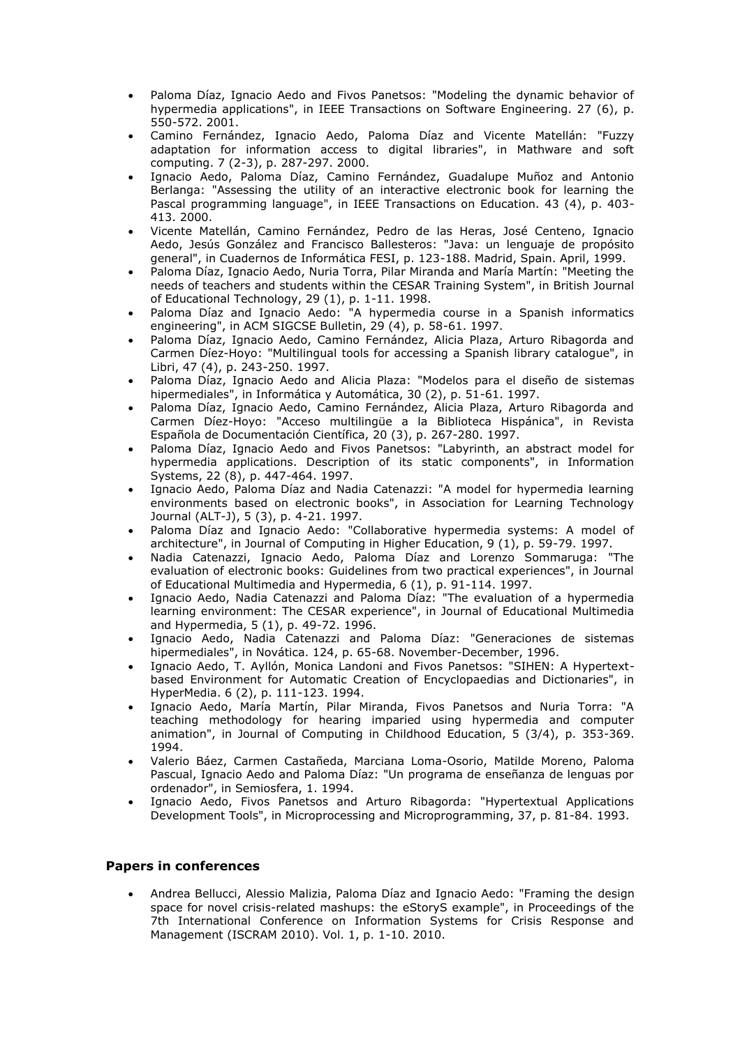- Paloma Díaz, Ignacio Aedo and Fivos Panetsos: "Modeling the dynamic behavior of hypermedia applications", in IEEE Transactions on Software Engineering. 27 (6), p. 550-572. 2001.
- Camino Fernández, Ignacio Aedo, Paloma Díaz and Vicente Matellán: "Fuzzy adaptation for information access to digital libraries", in Mathware and soft computing. 7 (2-3), p. 287-297. 2000.
- Ignacio Aedo, Paloma Díaz, Camino Fernández, Guadalupe Muñoz and Antonio Berlanga: "Assessing the utility of an interactive electronic book for learning the Pascal programming language", in IEEE Transactions on Education. 43 (4), p. 403- 413. 2000.
- Vicente Matellán, Camino Fernández, Pedro de las Heras, José Centeno, Ignacio Aedo, Jesús González and Francisco Ballesteros: "Java: un lenguaje de propósito general", in Cuadernos de Informática FESI, p. 123-188. Madrid, Spain. April, 1999.
- Paloma Díaz, Ignacio Aedo, Nuria Torra, Pilar Miranda and María Martín: "Meeting the needs of teachers and students within the CESAR Training System", in British Journal of Educational Technology, 29 (1), p. 1-11. 1998.
- Paloma Díaz and Ignacio Aedo: "A hypermedia course in a Spanish informatics engineering", in ACM SIGCSE Bulletin, 29 (4), p. 58-61. 1997.
- Paloma Díaz, Ignacio Aedo, Camino Fernández, Alicia Plaza, Arturo Ribagorda and Carmen Díez-Hoyo: "Multilingual tools for accessing a Spanish library catalogue", in Libri, 47 (4), p. 243-250. 1997.
- Paloma Díaz, Ignacio Aedo and Alicia Plaza: "Modelos para el diseño de sistemas hipermediales", in Informática y Automática, 30 (2), p. 51-61. 1997.
- Paloma Díaz, Ignacio Aedo, Camino Fernández, Alicia Plaza, Arturo Ribagorda and Carmen Díez-Hoyo: "Acceso multilingüe a la Biblioteca Hispánica", in Revista Española de Documentación Científica, 20 (3), p. 267-280. 1997.
- Paloma Díaz, Ignacio Aedo and Fivos Panetsos: "Labyrinth, an abstract model for hypermedia applications. Description of its static components", in Information Systems, 22 (8), p. 447-464. 1997.
- Ignacio Aedo, Paloma Díaz and Nadia Catenazzi: "A model for hypermedia learning environments based on electronic books", in Association for Learning Technology Journal (ALT-J), 5 (3), p. 4-21. 1997.
- Paloma Díaz and Ignacio Aedo: "Collaborative hypermedia systems: A model of architecture", in Journal of Computing in Higher Education, 9 (1), p. 59-79. 1997.
- Nadia Catenazzi, Ignacio Aedo, Paloma Díaz and Lorenzo Sommaruga: "The evaluation of electronic books: Guidelines from two practical experiences", in Journal of Educational Multimedia and Hypermedia, 6 (1), p. 91-114. 1997.
- Ignacio Aedo, Nadia Catenazzi and Paloma Díaz: "The evaluation of a hypermedia learning environment: The CESAR experience", in Journal of Educational Multimedia and Hypermedia, 5 (1), p. 49-72. 1996.
- Ignacio Aedo, Nadia Catenazzi and Paloma Díaz: "Generaciones de sistemas hipermediales", in Novática. 124, p. 65-68. November-December, 1996.
- Ignacio Aedo, T. Ayllón, Monica Landoni and Fivos Panetsos: "SIHEN: A Hypertextbased Environment for Automatic Creation of Encyclopaedias and Dictionaries", in HyperMedia. 6 (2), p. 111-123. 1994.
- Ignacio Aedo, María Martín, Pilar Miranda, Fivos Panetsos and Nuria Torra: "A teaching methodology for hearing imparied using hypermedia and computer animation", in Journal of Computing in Childhood Education, 5 (3/4), p. 353-369. 1994.
- Valerio Báez, Carmen Castañeda, Marciana Loma-Osorio, Matilde Moreno, Paloma Pascual, Ignacio Aedo and Paloma Díaz: "Un programa de enseñanza de lenguas por ordenador", in Semiosfera, 1. 1994.
- Ignacio Aedo, Fivos Panetsos and Arturo Ribagorda: "Hypertextual Applications Development Tools", in Microprocessing and Microprogramming, 37, p. 81-84. 1993.

#### **Papers in conferences**

 Andrea Bellucci, Alessio Malizia, Paloma Díaz and Ignacio Aedo: "Framing the design space for novel crisis-related mashups: the eStoryS example", in Proceedings of the 7th International Conference on Information Systems for Crisis Response and Management (ISCRAM 2010). Vol. 1, p. 1-10. 2010.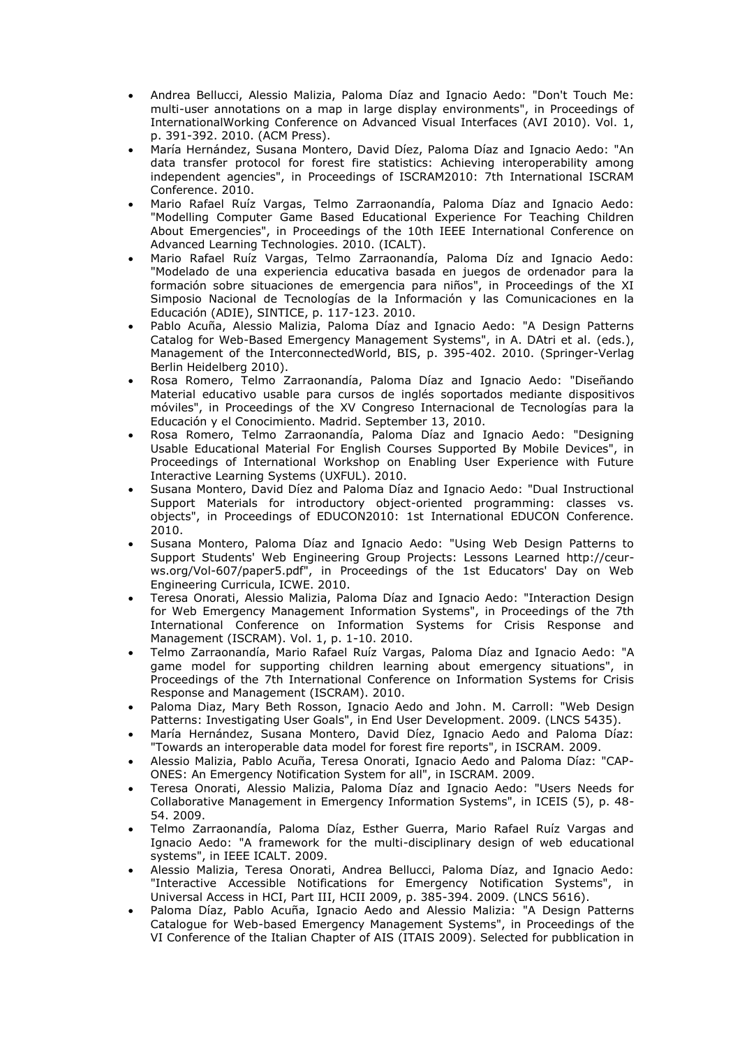- Andrea Bellucci, Alessio Malizia, Paloma Díaz and Ignacio Aedo: "Don't Touch Me: multi-user annotations on a map in large display environments", in Proceedings of InternationalWorking Conference on Advanced Visual Interfaces (AVI 2010). Vol. 1, p. 391-392. 2010. (ACM Press).
- María Hernández, Susana Montero, David Díez, Paloma Díaz and Ignacio Aedo: "An data transfer protocol for forest fire statistics: Achieving interoperability among independent agencies", in Proceedings of ISCRAM2010: 7th International ISCRAM Conference. 2010.
- Mario Rafael Ruíz Vargas, Telmo Zarraonandía, Paloma Díaz and Ignacio Aedo: "Modelling Computer Game Based Educational Experience For Teaching Children About Emergencies", in Proceedings of the 10th IEEE International Conference on Advanced Learning Technologies. 2010. (ICALT).
- Mario Rafael Ruíz Vargas, Telmo Zarraonandía, Paloma Díz and Ignacio Aedo: "Modelado de una experiencia educativa basada en juegos de ordenador para la formación sobre situaciones de emergencia para niños", in Proceedings of the XI Simposio Nacional de Tecnologías de la Información y las Comunicaciones en la Educación (ADIE), SINTICE, p. 117-123. 2010.
- Pablo Acuña, Alessio Malizia, Paloma Díaz and Ignacio Aedo: "A Design Patterns Catalog for Web-Based Emergency Management Systems", in A. DAtri et al. (eds.), Management of the InterconnectedWorld, BIS, p. 395-402. 2010. (Springer-Verlag Berlin Heidelberg 2010).
- Rosa Romero, Telmo Zarraonandía, Paloma Díaz and Ignacio Aedo: "Diseñando Material educativo usable para cursos de inglés soportados mediante dispositivos móviles", in Proceedings of the XV Congreso Internacional de Tecnologías para la Educación y el Conocimiento. Madrid. September 13, 2010.
- Rosa Romero, Telmo Zarraonandía, Paloma Díaz and Ignacio Aedo: "Designing Usable Educational Material For English Courses Supported By Mobile Devices", in Proceedings of International Workshop on Enabling User Experience with Future Interactive Learning Systems (UXFUL). 2010.
- Susana Montero, David Díez and Paloma Díaz and Ignacio Aedo: "Dual Instructional Support Materials for introductory object-oriented programming: classes vs. objects", in Proceedings of EDUCON2010: 1st International EDUCON Conference. 2010.
- Susana Montero, Paloma Díaz and Ignacio Aedo: "Using Web Design Patterns to Support Students' Web Engineering Group Projects: Lessons Learned http://ceurws.org/Vol-607/paper5.pdf", in Proceedings of the 1st Educators' Day on Web Engineering Curricula, ICWE. 2010.
- Teresa Onorati, Alessio Malizia, Paloma Díaz and Ignacio Aedo: "Interaction Design for Web Emergency Management Information Systems", in Proceedings of the 7th International Conference on Information Systems for Crisis Response and Management (ISCRAM). Vol. 1, p. 1-10. 2010.
- Telmo Zarraonandía, Mario Rafael Ruíz Vargas, Paloma Díaz and Ignacio Aedo: "A game model for supporting children learning about emergency situations", in Proceedings of the 7th International Conference on Information Systems for Crisis Response and Management (ISCRAM). 2010.
- Paloma Diaz, Mary Beth Rosson, Ignacio Aedo and John. M. Carroll: "Web Design Patterns: Investigating User Goals", in End User Development. 2009. (LNCS 5435).
- María Hernández, Susana Montero, David Díez, Ignacio Aedo and Paloma Díaz: "Towards an interoperable data model for forest fire reports", in ISCRAM. 2009.
- Alessio Malizia, Pablo Acuña, Teresa Onorati, Ignacio Aedo and Paloma Díaz: "CAP-ONES: An Emergency Notification System for all", in ISCRAM. 2009.
- Teresa Onorati, Alessio Malizia, Paloma Díaz and Ignacio Aedo: "Users Needs for Collaborative Management in Emergency Information Systems", in ICEIS (5), p. 48- 54. 2009.
- Telmo Zarraonandía, Paloma Díaz, Esther Guerra, Mario Rafael Ruíz Vargas and Ignacio Aedo: "A framework for the multi-disciplinary design of web educational systems", in IEEE ICALT. 2009.
- Alessio Malizia, Teresa Onorati, Andrea Bellucci, Paloma Díaz, and Ignacio Aedo: "Interactive Accessible Notifications for Emergency Notification Systems", in Universal Access in HCI, Part III, HCII 2009, p. 385-394. 2009. (LNCS 5616).
- Paloma Díaz, Pablo Acuña, Ignacio Aedo and Alessio Malizia: "A Design Patterns Catalogue for Web-based Emergency Management Systems", in Proceedings of the VI Conference of the Italian Chapter of AIS (ITAIS 2009). Selected for pubblication in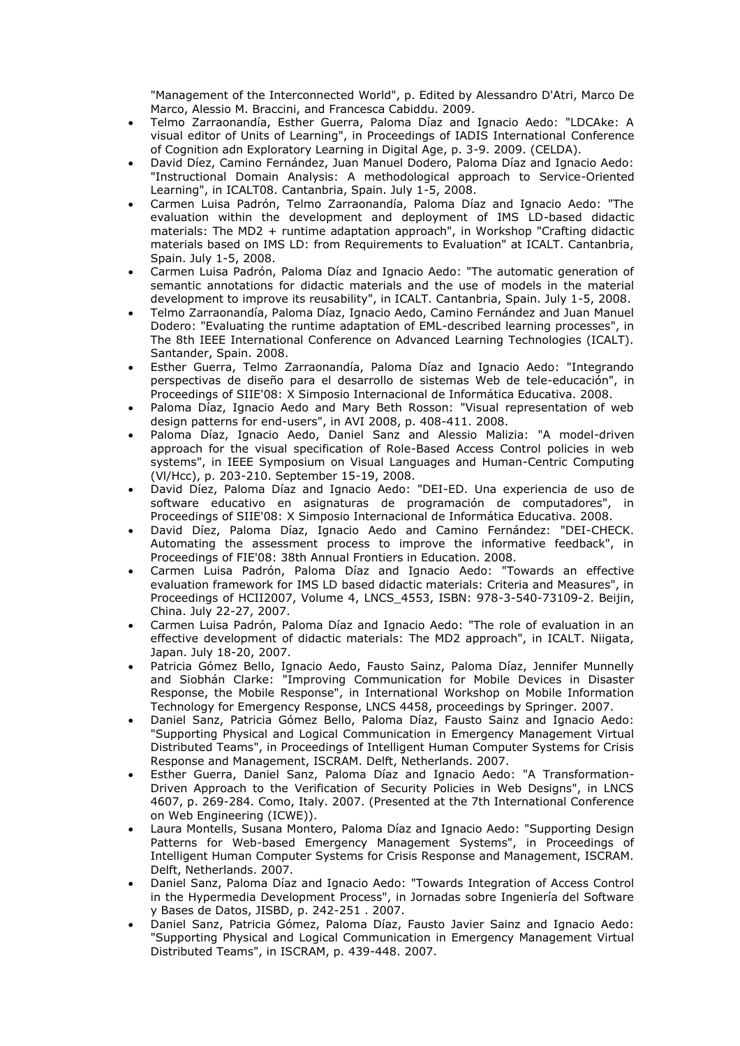"Management of the Interconnected World", p. Edited by Alessandro D'Atri, Marco De Marco, Alessio M. Braccini, and Francesca Cabiddu. 2009.

- Telmo Zarraonandía, Esther Guerra, Paloma Díaz and Ignacio Aedo: "LDCAke: A visual editor of Units of Learning", in Proceedings of IADIS International Conference of Cognition adn Exploratory Learning in Digital Age, p. 3-9. 2009. (CELDA).
- David Díez, Camino Fernández, Juan Manuel Dodero, Paloma Díaz and Ignacio Aedo: "Instructional Domain Analysis: A methodological approach to Service-Oriented Learning", in ICALT08. Cantanbria, Spain. July 1-5, 2008.
- Carmen Luisa Padrón, Telmo Zarraonandía, Paloma Díaz and Ignacio Aedo: "The evaluation within the development and deployment of IMS LD-based didactic materials: The MD2 + runtime adaptation approach", in Workshop "Crafting didactic materials based on IMS LD: from Requirements to Evaluation" at ICALT. Cantanbria, Spain. July 1-5, 2008.
- Carmen Luisa Padrón, Paloma Díaz and Ignacio Aedo: "The automatic generation of semantic annotations for didactic materials and the use of models in the material development to improve its reusability", in ICALT. Cantanbria, Spain. July 1-5, 2008.
- Telmo Zarraonandía, Paloma Díaz, Ignacio Aedo, Camino Fernández and Juan Manuel Dodero: "Evaluating the runtime adaptation of EML-described learning processes", in The 8th IEEE International Conference on Advanced Learning Technologies (ICALT). Santander, Spain. 2008.
- Esther Guerra, Telmo Zarraonandía, Paloma Díaz and Ignacio Aedo: "Integrando perspectivas de diseño para el desarrollo de sistemas Web de tele-educación", in Proceedings of SIIE'08: X Simposio Internacional de Informática Educativa. 2008.
- Paloma Díaz, Ignacio Aedo and Mary Beth Rosson: "Visual representation of web design patterns for end-users", in AVI 2008, p. 408-411. 2008.
- Paloma Díaz, Ignacio Aedo, Daniel Sanz and Alessio Malizia: "A model-driven approach for the visual specification of Role-Based Access Control policies in web systems", in IEEE Symposium on Visual Languages and Human-Centric Computing (Vl/Hcc), p. 203-210. September 15-19, 2008.
- David Díez, Paloma Díaz and Ignacio Aedo: "DEI-ED. Una experiencia de uso de software educativo en asignaturas de programación de computadores", in Proceedings of SIIE'08: X Simposio Internacional de Informática Educativa. 2008.
- David Díez, Paloma Díaz, Ignacio Aedo and Camino Fernández: "DEI-CHECK. Automating the assessment process to improve the informative feedback", in Proceedings of FIE'08: 38th Annual Frontiers in Education. 2008.
- Carmen Luisa Padrón, Paloma Díaz and Ignacio Aedo: "Towards an effective evaluation framework for IMS LD based didactic materials: Criteria and Measures", in Proceedings of HCII2007, Volume 4, LNCS\_4553, ISBN: 978-3-540-73109-2. Beijin, China. July 22-27, 2007.
- Carmen Luisa Padrón, Paloma Díaz and Ignacio Aedo: "The role of evaluation in an effective development of didactic materials: The MD2 approach", in ICALT. Niigata, Japan. July 18-20, 2007.
- Patricia Gómez Bello, Ignacio Aedo, Fausto Sainz, Paloma Díaz, Jennifer Munnelly and Siobhán Clarke: "Improving Communication for Mobile Devices in Disaster Response, the Mobile Response", in International Workshop on Mobile Information Technology for Emergency Response, LNCS 4458, proceedings by Springer. 2007.
- Daniel Sanz, Patricia Gómez Bello, Paloma Díaz, Fausto Sainz and Ignacio Aedo: "Supporting Physical and Logical Communication in Emergency Management Virtual Distributed Teams", in Proceedings of Intelligent Human Computer Systems for Crisis Response and Management, ISCRAM. Delft, Netherlands. 2007.
- Esther Guerra, Daniel Sanz, Paloma Díaz and Ignacio Aedo: "A Transformation-Driven Approach to the Verification of Security Policies in Web Designs", in LNCS 4607, p. 269-284. Como, Italy. 2007. (Presented at the 7th International Conference on Web Engineering (ICWE)).
- Laura Montells, Susana Montero, Paloma Díaz and Ignacio Aedo: "Supporting Design Patterns for Web-based Emergency Management Systems", in Proceedings of Intelligent Human Computer Systems for Crisis Response and Management, ISCRAM. Delft, Netherlands. 2007.
- Daniel Sanz, Paloma Díaz and Ignacio Aedo: "Towards Integration of Access Control in the Hypermedia Development Process", in Jornadas sobre Ingeniería del Software y Bases de Datos, JISBD, p. 242-251 . 2007.
- Daniel Sanz, Patricia Gómez, Paloma Díaz, Fausto Javier Sainz and Ignacio Aedo: "Supporting Physical and Logical Communication in Emergency Management Virtual Distributed Teams", in ISCRAM, p. 439-448. 2007.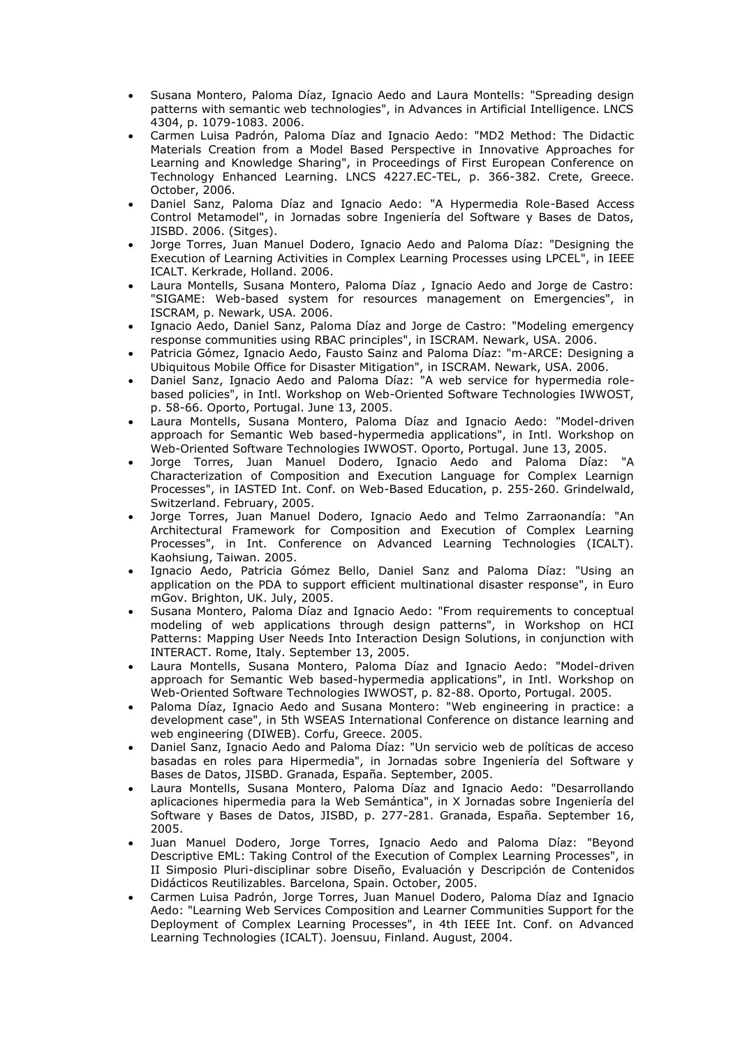- Susana Montero, Paloma Díaz, Ignacio Aedo and Laura Montells: "Spreading design patterns with semantic web technologies", in Advances in Artificial Intelligence. LNCS 4304, p. 1079-1083. 2006.
- Carmen Luisa Padrón, Paloma Díaz and Ignacio Aedo: "MD2 Method: The Didactic Materials Creation from a Model Based Perspective in Innovative Approaches for Learning and Knowledge Sharing", in Proceedings of First European Conference on Technology Enhanced Learning. LNCS 4227.EC-TEL, p. 366-382. Crete, Greece. October, 2006.
- Daniel Sanz, Paloma Díaz and Ignacio Aedo: "A Hypermedia Role-Based Access Control Metamodel", in Jornadas sobre Ingeniería del Software y Bases de Datos, JISBD. 2006. (Sitges).
- Jorge Torres, Juan Manuel Dodero, Ignacio Aedo and Paloma Díaz: "Designing the Execution of Learning Activities in Complex Learning Processes using LPCEL", in IEEE ICALT. Kerkrade, Holland. 2006.
- Laura Montells, Susana Montero, Paloma Díaz , Ignacio Aedo and Jorge de Castro: "SIGAME: Web-based system for resources management on Emergencies", in ISCRAM, p. Newark, USA. 2006.
- Ignacio Aedo, Daniel Sanz, Paloma Díaz and Jorge de Castro: "Modeling emergency response communities using RBAC principles", in ISCRAM. Newark, USA. 2006.
- Patricia Gómez, Ignacio Aedo, Fausto Sainz and Paloma Díaz: "m-ARCE: Designing a Ubiquitous Mobile Office for Disaster Mitigation", in ISCRAM. Newark, USA. 2006.
- Daniel Sanz, Ignacio Aedo and Paloma Díaz: "A web service for hypermedia rolebased policies", in Intl. Workshop on Web-Oriented Software Technologies IWWOST, p. 58-66. Oporto, Portugal. June 13, 2005.
- Laura Montells, Susana Montero, Paloma Díaz and Ignacio Aedo: "Model-driven approach for Semantic Web based-hypermedia applications", in Intl. Workshop on Web-Oriented Software Technologies IWWOST. Oporto, Portugal. June 13, 2005.
- Jorge Torres, Juan Manuel Dodero, Ignacio Aedo and Paloma Díaz: "A Characterization of Composition and Execution Language for Complex Learnign Processes", in IASTED Int. Conf. on Web-Based Education, p. 255-260. Grindelwald, Switzerland. February, 2005.
- Jorge Torres, Juan Manuel Dodero, Ignacio Aedo and Telmo Zarraonandía: "An Architectural Framework for Composition and Execution of Complex Learning Processes", in Int. Conference on Advanced Learning Technologies (ICALT). Kaohsiung, Taiwan. 2005.
- Ignacio Aedo, Patricia Gómez Bello, Daniel Sanz and Paloma Díaz: "Using an application on the PDA to support efficient multinational disaster response", in Euro mGov. Brighton, UK. July, 2005.
- Susana Montero, Paloma Díaz and Ignacio Aedo: "From requirements to conceptual modeling of web applications through design patterns", in Workshop on HCI Patterns: Mapping User Needs Into Interaction Design Solutions, in conjunction with INTERACT. Rome, Italy. September 13, 2005.
- Laura Montells, Susana Montero, Paloma Díaz and Ignacio Aedo: "Model-driven approach for Semantic Web based-hypermedia applications", in Intl. Workshop on Web-Oriented Software Technologies IWWOST, p. 82-88. Oporto, Portugal. 2005.
- Paloma Díaz, Ignacio Aedo and Susana Montero: "Web engineering in practice: a development case", in 5th WSEAS International Conference on distance learning and web engineering (DIWEB). Corfu, Greece. 2005.
- Daniel Sanz, Ignacio Aedo and Paloma Díaz: "Un servicio web de políticas de acceso basadas en roles para Hipermedia", in Jornadas sobre Ingeniería del Software y Bases de Datos, JISBD. Granada, España. September, 2005.
- Laura Montells, Susana Montero, Paloma Díaz and Ignacio Aedo: "Desarrollando aplicaciones hipermedia para la Web Semántica", in X Jornadas sobre Ingeniería del Software y Bases de Datos, JISBD, p. 277-281. Granada, España. September 16, 2005.
- Juan Manuel Dodero, Jorge Torres, Ignacio Aedo and Paloma Díaz: "Beyond Descriptive EML: Taking Control of the Execution of Complex Learning Processes", in II Simposio Pluri-disciplinar sobre Diseño, Evaluación y Descripción de Contenidos Didácticos Reutilizables. Barcelona, Spain. October, 2005.
- Carmen Luisa Padrón, Jorge Torres, Juan Manuel Dodero, Paloma Díaz and Ignacio Aedo: "Learning Web Services Composition and Learner Communities Support for the Deployment of Complex Learning Processes", in 4th IEEE Int. Conf. on Advanced Learning Technologies (ICALT). Joensuu, Finland. August, 2004.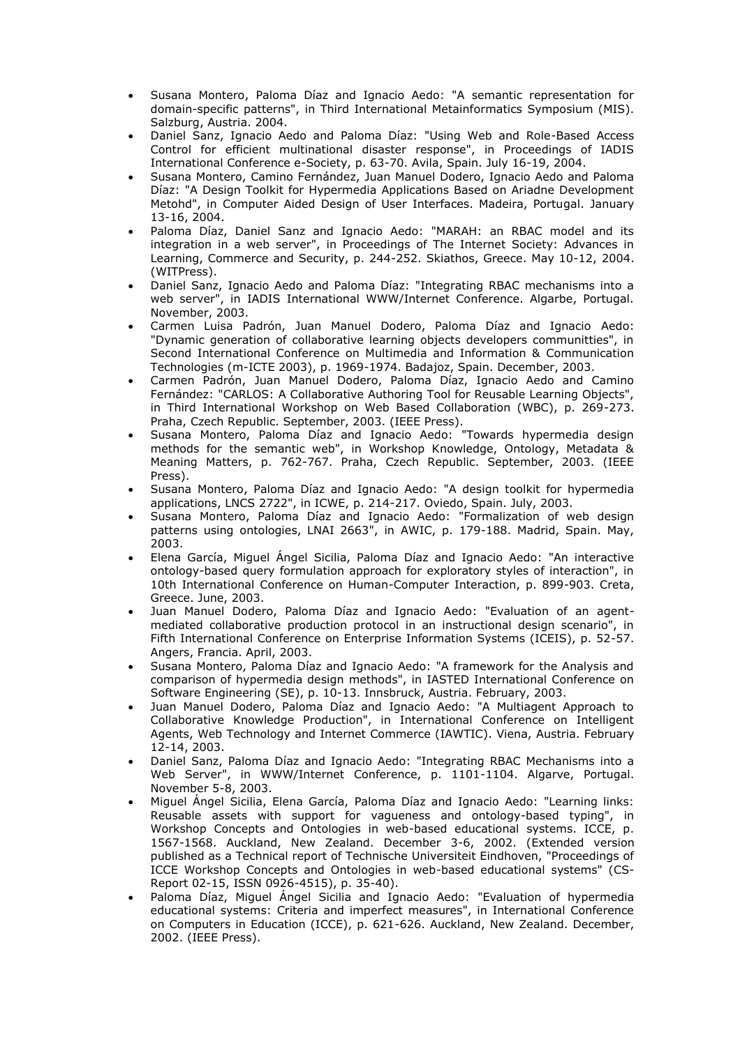- Susana Montero, Paloma Díaz and Ignacio Aedo: "A semantic representation for domain-specific patterns", in Third International Metainformatics Symposium (MIS). Salzburg, Austria. 2004.
- Daniel Sanz, Ignacio Aedo and Paloma Díaz: "Using Web and Role-Based Access Control for efficient multinational disaster response", in Proceedings of IADIS International Conference e-Society, p. 63-70. Avila, Spain. July 16-19, 2004.
- Susana Montero, Camino Fernández, Juan Manuel Dodero, Ignacio Aedo and Paloma Díaz: "A Design Toolkit for Hypermedia Applications Based on Ariadne Development Metohd", in Computer Aided Design of User Interfaces. Madeira, Portugal. January 13-16, 2004.
- Paloma Díaz, Daniel Sanz and Ignacio Aedo: "MARAH: an RBAC model and its integration in a web server", in Proceedings of The Internet Society: Advances in Learning, Commerce and Security, p. 244-252. Skiathos, Greece. May 10-12, 2004. (WITPress).
- Daniel Sanz, Ignacio Aedo and Paloma Díaz: "Integrating RBAC mechanisms into a web server", in IADIS International WWW/Internet Conference. Algarbe, Portugal. November, 2003.
- Carmen Luisa Padrón, Juan Manuel Dodero, Paloma Díaz and Ignacio Aedo: "Dynamic generation of collaborative learning objects developers communitties", in Second International Conference on Multimedia and Information & Communication Technologies (m-ICTE 2003), p. 1969-1974. Badajoz, Spain. December, 2003.
- Carmen Padrón, Juan Manuel Dodero, Paloma Díaz, Ignacio Aedo and Camino Fernández: "CARLOS: A Collaborative Authoring Tool for Reusable Learning Objects", in Third International Workshop on Web Based Collaboration (WBC), p. 269-273. Praha, Czech Republic. September, 2003. (IEEE Press).
- Susana Montero, Paloma Díaz and Ignacio Aedo: "Towards hypermedia design methods for the semantic web", in Workshop Knowledge, Ontology, Metadata & Meaning Matters, p. 762-767. Praha, Czech Republic. September, 2003. (IEEE Press).
- Susana Montero, Paloma Díaz and Ignacio Aedo: "A design toolkit for hypermedia applications, LNCS 2722", in ICWE, p. 214-217. Oviedo, Spain. July, 2003.
- Susana Montero, Paloma Díaz and Ignacio Aedo: "Formalization of web design patterns using ontologies, LNAI 2663", in AWIC, p. 179-188. Madrid, Spain. May, 2003.
- Elena García, Miguel Ángel Sicilia, Paloma Díaz and Ignacio Aedo: "An interactive ontology-based query formulation approach for exploratory styles of interaction", in 10th International Conference on Human-Computer Interaction, p. 899-903. Creta, Greece. June, 2003.
- Juan Manuel Dodero, Paloma Díaz and Ignacio Aedo: "Evaluation of an agentmediated collaborative production protocol in an instructional design scenario", in Fifth International Conference on Enterprise Information Systems (ICEIS), p. 52-57. Angers, Francia. April, 2003.
- Susana Montero, Paloma Díaz and Ignacio Aedo: "A framework for the Analysis and comparison of hypermedia design methods", in IASTED International Conference on Software Engineering (SE), p. 10-13. Innsbruck, Austria. February, 2003.
- Juan Manuel Dodero, Paloma Díaz and Ignacio Aedo: "A Multiagent Approach to Collaborative Knowledge Production", in International Conference on Intelligent Agents, Web Technology and Internet Commerce (IAWTIC). Viena, Austria. February 12-14, 2003.
- Daniel Sanz, Paloma Díaz and Ignacio Aedo: "Integrating RBAC Mechanisms into a Web Server", in WWW/Internet Conference, p. 1101-1104. Algarve, Portugal. November 5-8, 2003.
- Miguel Ángel Sicilia, Elena García, Paloma Díaz and Ignacio Aedo: "Learning links: Reusable assets with support for vagueness and ontology-based typing", in Workshop Concepts and Ontologies in web-based educational systems. ICCE, p. 1567-1568. Auckland, New Zealand. December 3-6, 2002. (Extended version published as a Technical report of Technische Universiteit Eindhoven, "Proceedings of ICCE Workshop Concepts and Ontologies in web-based educational systems" (CS-Report 02-15, ISSN 0926-4515), p. 35-40).
- Paloma Díaz, Miguel Ángel Sicilia and Ignacio Aedo: "Evaluation of hypermedia educational systems: Criteria and imperfect measures", in International Conference on Computers in Education (ICCE), p. 621-626. Auckland, New Zealand. December, 2002. (IEEE Press).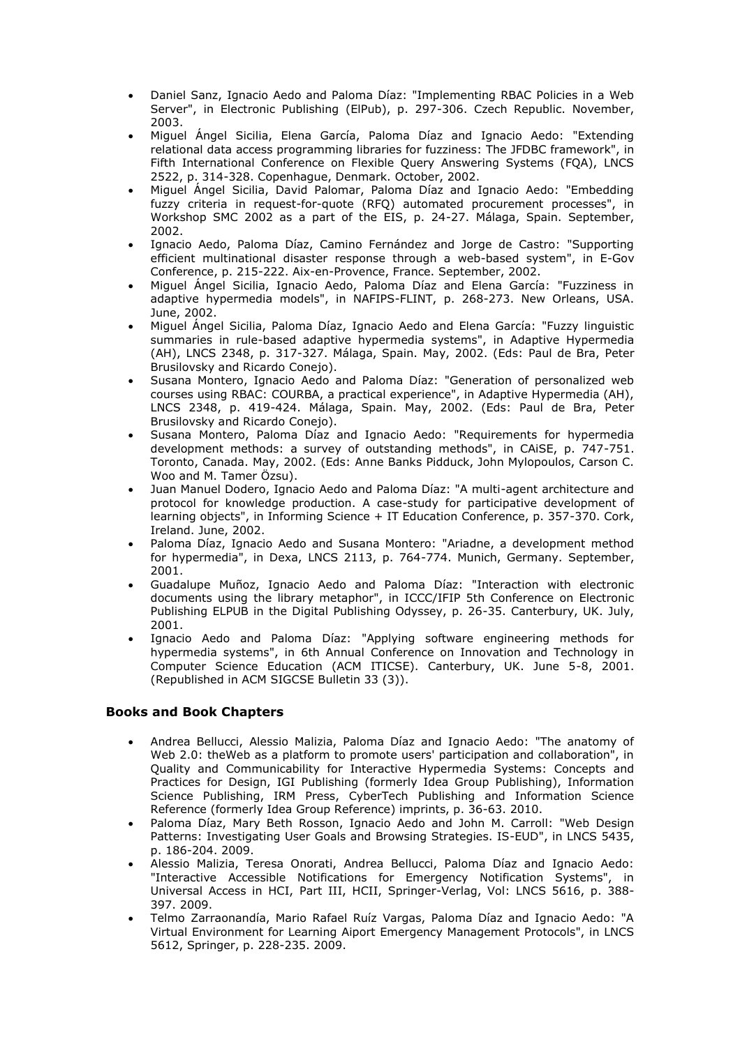- Daniel Sanz, Ignacio Aedo and Paloma Díaz: "Implementing RBAC Policies in a Web Server", in Electronic Publishing (ElPub), p. 297-306. Czech Republic. November, 2003.
- Miguel Ángel Sicilia, Elena García, Paloma Díaz and Ignacio Aedo: "Extending relational data access programming libraries for fuzziness: The JFDBC framework", in Fifth International Conference on Flexible Query Answering Systems (FQA), LNCS 2522, p. 314-328. Copenhague, Denmark. October, 2002.
- Miguel Ángel Sicilia, David Palomar, Paloma Díaz and Ignacio Aedo: "Embedding fuzzy criteria in request-for-quote (RFQ) automated procurement processes", in Workshop SMC 2002 as a part of the EIS, p. 24-27. Málaga, Spain. September, 2002.
- Ignacio Aedo, Paloma Díaz, Camino Fernández and Jorge de Castro: "Supporting efficient multinational disaster response through a web-based system", in E-Gov Conference, p. 215-222. Aix-en-Provence, France. September, 2002.
- Miguel Ángel Sicilia, Ignacio Aedo, Paloma Díaz and Elena García: "Fuzziness in adaptive hypermedia models", in NAFIPS-FLINT, p. 268-273. New Orleans, USA. June, 2002.
- Miguel Ángel Sicilia, Paloma Díaz, Ignacio Aedo and Elena García: "Fuzzy linguistic summaries in rule-based adaptive hypermedia systems", in Adaptive Hypermedia (AH), LNCS 2348, p. 317-327. Málaga, Spain. May, 2002. (Eds: Paul de Bra, Peter Brusilovsky and Ricardo Conejo).
- Susana Montero, Ignacio Aedo and Paloma Díaz: "Generation of personalized web courses using RBAC: COURBA, a practical experience", in Adaptive Hypermedia (AH), LNCS 2348, p. 419-424. Málaga, Spain. May, 2002. (Eds: Paul de Bra, Peter Brusilovsky and Ricardo Conejo).
- Susana Montero, Paloma Díaz and Ignacio Aedo: "Requirements for hypermedia development methods: a survey of outstanding methods", in CAiSE, p. 747-751. Toronto, Canada. May, 2002. (Eds: Anne Banks Pidduck, John Mylopoulos, Carson C. Woo and M. Tamer Özsu).
- Juan Manuel Dodero, Ignacio Aedo and Paloma Díaz: "A multi-agent architecture and protocol for knowledge production. A case-study for participative development of learning objects", in Informing Science + IT Education Conference, p. 357-370. Cork, Ireland. June, 2002.
- Paloma Díaz, Ignacio Aedo and Susana Montero: "Ariadne, a development method for hypermedia", in Dexa, LNCS 2113, p. 764-774. Munich, Germany. September, 2001.
- Guadalupe Muñoz, Ignacio Aedo and Paloma Díaz: "Interaction with electronic documents using the library metaphor", in ICCC/IFIP 5th Conference on Electronic Publishing ELPUB in the Digital Publishing Odyssey, p. 26-35. Canterbury, UK. July, 2001.
- Ignacio Aedo and Paloma Díaz: "Applying software engineering methods for hypermedia systems", in 6th Annual Conference on Innovation and Technology in Computer Science Education (ACM ITICSE). Canterbury, UK. June 5-8, 2001. (Republished in ACM SIGCSE Bulletin 33 (3)).

### **Books and Book Chapters**

- Andrea Bellucci, Alessio Malizia, Paloma Díaz and Ignacio Aedo: "The anatomy of Web 2.0: theWeb as a platform to promote users' participation and collaboration", in Quality and Communicability for Interactive Hypermedia Systems: Concepts and Practices for Design, IGI Publishing (formerly Idea Group Publishing), Information Science Publishing, IRM Press, CyberTech Publishing and Information Science Reference (formerly Idea Group Reference) imprints, p. 36-63. 2010.
- Paloma Díaz, Mary Beth Rosson, Ignacio Aedo and John M. Carroll: "Web Design Patterns: Investigating User Goals and Browsing Strategies. IS-EUD", in LNCS 5435, p. 186-204. 2009.
- Alessio Malizia, Teresa Onorati, Andrea Bellucci, Paloma Díaz and Ignacio Aedo: "Interactive Accessible Notifications for Emergency Notification Systems", in Universal Access in HCI, Part III, HCII, Springer-Verlag, Vol: LNCS 5616, p. 388- 397. 2009.
- Telmo Zarraonandía, Mario Rafael Ruíz Vargas, Paloma Díaz and Ignacio Aedo: "A Virtual Environment for Learning Aiport Emergency Management Protocols", in LNCS 5612, Springer, p. 228-235. 2009.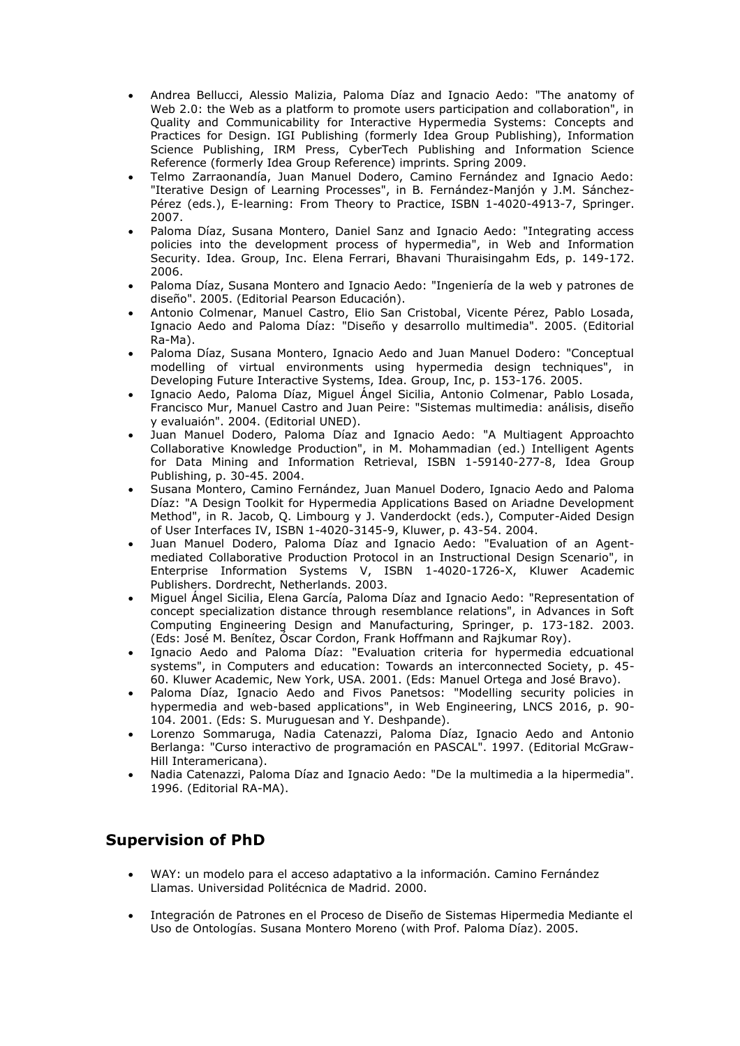- Andrea Bellucci, Alessio Malizia, Paloma Díaz and Ignacio Aedo: "The anatomy of Web 2.0: the Web as a platform to promote users participation and collaboration", in Quality and Communicability for Interactive Hypermedia Systems: Concepts and Practices for Design. IGI Publishing (formerly Idea Group Publishing), Information Science Publishing, IRM Press, CyberTech Publishing and Information Science Reference (formerly Idea Group Reference) imprints. Spring 2009.
- Telmo Zarraonandía, Juan Manuel Dodero, Camino Fernández and Ignacio Aedo: "Iterative Design of Learning Processes", in B. Fernández-Manjón y J.M. Sánchez-Pérez (eds.), E-learning: From Theory to Practice, ISBN 1-4020-4913-7, Springer. 2007.
- Paloma Díaz, Susana Montero, Daniel Sanz and Ignacio Aedo: "Integrating access policies into the development process of hypermedia", in Web and Information Security. Idea. Group, Inc. Elena Ferrari, Bhavani Thuraisingahm Eds, p. 149-172. 2006.
- Paloma Díaz, Susana Montero and Ignacio Aedo: "Ingeniería de la web y patrones de diseño". 2005. (Editorial Pearson Educación).
- Antonio Colmenar, Manuel Castro, Elio San Cristobal, Vicente Pérez, Pablo Losada, Ignacio Aedo and Paloma Díaz: "Diseño y desarrollo multimedia". 2005. (Editorial Ra-Ma).
- Paloma Díaz, Susana Montero, Ignacio Aedo and Juan Manuel Dodero: "Conceptual modelling of virtual environments using hypermedia design techniques", in Developing Future Interactive Systems, Idea. Group, Inc, p. 153-176. 2005.
- Ignacio Aedo, Paloma Díaz, Miguel Ángel Sicilia, Antonio Colmenar, Pablo Losada, Francisco Mur, Manuel Castro and Juan Peire: "Sistemas multimedia: análisis, diseño y evaluaión". 2004. (Editorial UNED).
- Juan Manuel Dodero, Paloma Díaz and Ignacio Aedo: "A Multiagent Approachto Collaborative Knowledge Production", in M. Mohammadian (ed.) Intelligent Agents for Data Mining and Information Retrieval, ISBN 1-59140-277-8, Idea Group Publishing, p. 30-45. 2004.
- Susana Montero, Camino Fernández, Juan Manuel Dodero, Ignacio Aedo and Paloma Díaz: "A Design Toolkit for Hypermedia Applications Based on Ariadne Development Method", in R. Jacob, Q. Limbourg y J. Vanderdockt (eds.), Computer-Aided Design of User Interfaces IV, ISBN 1-4020-3145-9, Kluwer, p. 43-54. 2004.
- Juan Manuel Dodero, Paloma Díaz and Ignacio Aedo: "Evaluation of an Agentmediated Collaborative Production Protocol in an Instructional Design Scenario", in Enterprise Information Systems V, ISBN 1-4020-1726-X, Kluwer Academic Publishers. Dordrecht, Netherlands. 2003.
- Miguel Ángel Sicilia, Elena García, Paloma Díaz and Ignacio Aedo: "Representation of concept specialization distance through resemblance relations", in Advances in Soft Computing Engineering Design and Manufacturing, Springer, p. 173-182. 2003. (Eds: José M. Benítez, Óscar Cordon, Frank Hoffmann and Rajkumar Roy).
- Ignacio Aedo and Paloma Díaz: "Evaluation criteria for hypermedia edcuational systems", in Computers and education: Towards an interconnected Society, p. 45- 60. Kluwer Academic, New York, USA. 2001. (Eds: Manuel Ortega and José Bravo).
- Paloma Díaz, Ignacio Aedo and Fivos Panetsos: "Modelling security policies in hypermedia and web-based applications", in Web Engineering, LNCS 2016, p. 90- 104. 2001. (Eds: S. Muruguesan and Y. Deshpande).
- Lorenzo Sommaruga, Nadia Catenazzi, Paloma Díaz, Ignacio Aedo and Antonio Berlanga: "Curso interactivo de programación en PASCAL". 1997. (Editorial McGraw-Hill Interamericana).
- Nadia Catenazzi, Paloma Díaz and Ignacio Aedo: "De la multimedia a la hipermedia". 1996. (Editorial RA-MA).

# **Supervision of PhD**

- WAY: un modelo para el acceso adaptativo a la información. Camino Fernández Llamas. Universidad Politécnica de Madrid. 2000.
- Integración de Patrones en el Proceso de Diseño de Sistemas Hipermedia Mediante el Uso de Ontologías. Susana Montero Moreno (with Prof. Paloma Díaz). 2005.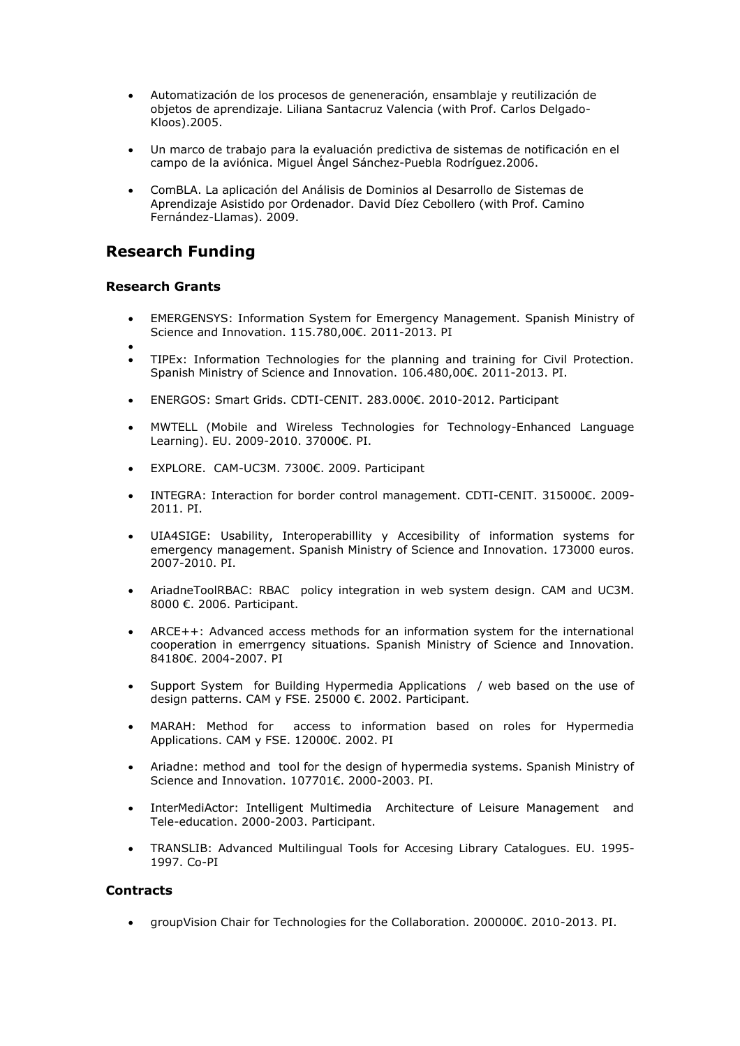- Automatización de los procesos de geneneración, ensamblaje y reutilización de objetos de aprendizaje. Liliana Santacruz Valencia (with Prof. Carlos Delgado-Kloos).2005.
- Un marco de trabajo para la evaluación predictiva de sistemas de notificación en el campo de la aviónica. Miguel Ángel Sánchez-Puebla Rodríguez.2006.
- ComBLA. La aplicación del Análisis de Dominios al Desarrollo de Sistemas de Aprendizaje Asistido por Ordenador. David Díez Cebollero (with Prof. Camino Fernández-Llamas). 2009.

## **Research Funding**

#### **Research Grants**

- EMERGENSYS: Information System for Emergency Management. Spanish Ministry of Science and Innovation. 115.780,00€. 2011-2013. PI
- $\bullet$
- TIPEx: Information Technologies for the planning and training for Civil Protection. Spanish Ministry of Science and Innovation. 106.480,00€. 2011-2013. PI.
- ENERGOS: Smart Grids. CDTI-CENIT. 283.000€. 2010-2012. Participant
- MWTELL (Mobile and Wireless Technologies for Technology-Enhanced Language Learning). EU. 2009-2010. 37000€. PI.
- EXPLORE. CAM-UC3M. 7300€. 2009. Participant
- INTEGRA: Interaction for border control management. CDTI-CENIT. 315000€. 2009- 2011. PI.
- UIA4SIGE: Usability, Interoperabillity y Accesibility of information systems for emergency management. Spanish Ministry of Science and Innovation. 173000 euros. 2007-2010. PI.
- AriadneToolRBAC: RBAC policy integration in web system design. CAM and UC3M. 8000 €. 2006. Participant.
- ARCE++: Advanced access methods for an information system for the international cooperation in emerrgency situations. Spanish Ministry of Science and Innovation. 84180€. 2004-2007. PI
- Support System for Building Hypermedia Applications / web based on the use of design patterns. CAM y FSE. 25000 €. 2002. Participant.
- MARAH: Method for access to information based on roles for Hypermedia Applications. CAM y FSE. 12000€. 2002. PI
- Ariadne: method and tool for the design of hypermedia systems. Spanish Ministry of Science and Innovation. 107701€. 2000-2003. PI.
- InterMediActor: Intelligent Multimedia Architecture of Leisure Management and Tele-education. 2000-2003. Participant.
- TRANSLIB: Advanced Multilingual Tools for Accesing Library Catalogues. EU. 1995- 1997. Co-PI

#### **Contracts**

groupVision Chair for Technologies for the Collaboration. 200000€. 2010-2013. PI.